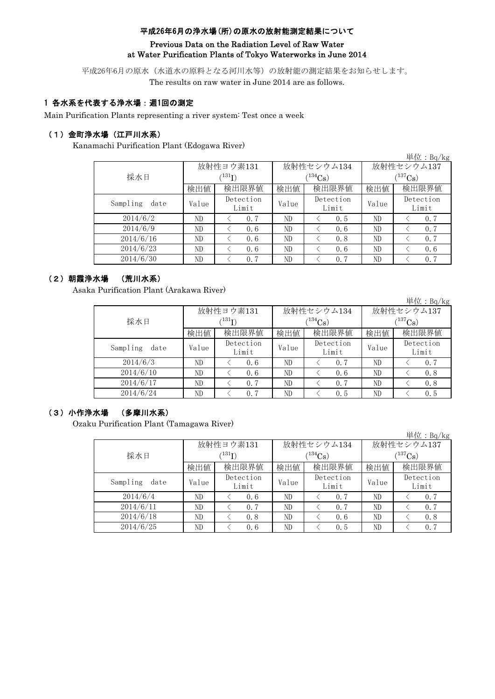#### 平成26年6月の浄水場(所)の原水の放射能測定結果について

## Previous Data on the Radiation Level of Raw Water at Water Purification Plants of Tokyo Waterworks in June 2014

平成26年6月の原水(水道水の原料となる河川水等)の放射能の測定結果をお知らせします。 The results on raw water in June 2014 are as follows.

## 1 各水系を代表する浄水場:週1回の測定

Main Purification Plants representing a river system: Test once a week

## (1)金町浄水場(江戸川水系)

Kanamachi Purification Plant (Edogawa River)

|                  |       |                    |       |                    |             | 単位: Bq/kg          |  |
|------------------|-------|--------------------|-------|--------------------|-------------|--------------------|--|
|                  |       | 放射性ヨウ素131          |       | 放射性セシウム134         | 放射性セシウム137  |                    |  |
| 採水日              |       | $(^{131}I)$        |       | $(134)$ Cs         | $(137)$ Cs) |                    |  |
|                  | 検出値   | 検出限界値              | 検出値   | 検出限界値              | 検出値         | 検出限界値              |  |
| Sampling<br>date | Value | Detection<br>Limit | Value | Detection<br>Limit | Value       | Detection<br>Limit |  |
| 2014/6/2         | ND    | 0.7                | ND    | 0, 5               | ND          | 0.7                |  |
| 2014/6/9         | ND    | 0.6                | ND    | 0.6                | ND          | 0.7                |  |
| 2014/6/16        | ND    | 0.6                | ND    | 0.8                | ND          | 0.7                |  |
| 2014/6/23        | ND    | 0.6                | ND    | 0.6                | ND          | 0.6                |  |
| 2014/6/30        | ND    | 0.7                | ND    | 0.7                | ND          | 0.7                |  |

# (2)朝霞浄水場 (荒川水系)

Asaka Purification Plant (Arakawa River)

|                  |                            |                    |       |                    |              | 単位: $Bq/kg$        |  |
|------------------|----------------------------|--------------------|-------|--------------------|--------------|--------------------|--|
|                  |                            | 放射性ヨウ素131          |       | 放射性セシウム134         | 放射性セシウム137   |                    |  |
| 採水日              | $^{\prime131} \mathrm{I})$ |                    |       | $(134)$ Cs         | $(^{137}Cs)$ |                    |  |
|                  | 検出値                        | 検出限界値              | 検出値   | 検出限界値              | 検出値          | 検出限界値              |  |
| Sampling<br>date | Value                      | Detection<br>Limit | Value | Detection<br>Limit | Value        | Detection<br>Limit |  |
| 2014/6/3         | ND                         | 0.6                | ND    | 0.7                | ND           | 0.7                |  |
| 2014/6/10        | ND                         | 0.6                | ND    | 0.6                | ND           | 0.8                |  |
| 2014/6/17        | ND                         | 0.7                | ND    | 0.7                | ND           | 0.8                |  |
| 2014/6/24        | ND                         | 0.7                | ND    | 0.5                | ND           | 0.5                |  |

## (3)小作浄水場 (多摩川水系)

Ozaku Purification Plant (Tamagawa River)

|                  |       |                    |                |                    |              | 単位:Bq/kg           |  |
|------------------|-------|--------------------|----------------|--------------------|--------------|--------------------|--|
|                  |       | 放射性ヨウ素131          |                | 放射性セシウム134         | 放射性セシウム137   |                    |  |
| 採水日              |       | (131)              | $(^{134}Cs)$   |                    | $(^{137}Cs)$ |                    |  |
|                  | 検出値   | 検出限界値<br>検出値       |                | 検出限界値              | 検出値          | 検出限界値              |  |
| Sampling<br>date | Value | Detection<br>Limit | Value          | Detection<br>Limit | Value        | Detection<br>Limit |  |
| 2014/6/4         | ND    | 0.6                | N <sub>D</sub> | 0.7                | ND           | 0.7                |  |
| 2014/6/11        | ND    | 0.7                | ND             | 0.7                | ND           | 0.7                |  |
| 2014/6/18        | ND    | 0.8                | ND             | 0.6                | ND           | 0.8                |  |
| 2014/6/25        | ND    | 0.6                | ND             | 0.5                | ND           | 0.7                |  |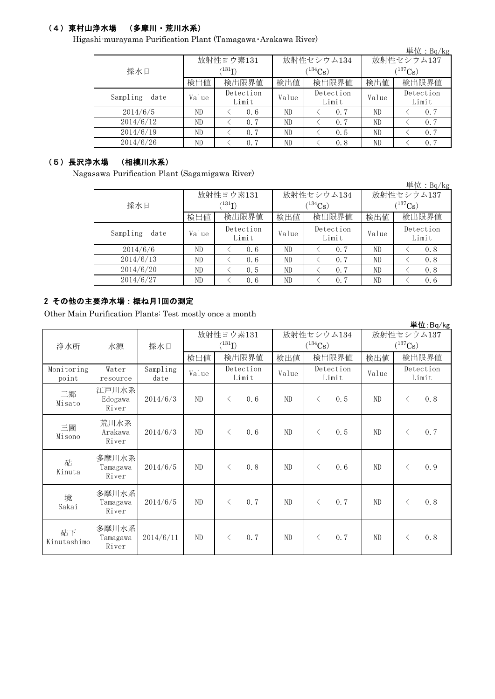# (4)東村山浄水場 (多摩川・荒川水系)

Higashi-murayama Purification Plant (Tamagawa・Arakawa River)

|                  |                          |                    |       |                    |              | 単位 : Bq/kg         |  |
|------------------|--------------------------|--------------------|-------|--------------------|--------------|--------------------|--|
|                  |                          | 放射性ヨウ素131          |       | 放射性セシウム134         | 放射性セシウム137   |                    |  |
| 採水日              | $^{\prime\,131}{\rm I)}$ |                    |       | $(134)$ Cs         | $(^{137}Cs)$ |                    |  |
|                  | 検出値                      | 検出限界値              | 検出値   | 検出限界値              | 検出値          | 検出限界値              |  |
| Sampling<br>date | Value                    | Detection<br>Limit | Value | Detection<br>Limit | Value        | Detection<br>Limit |  |
| 2014/6/5         | ND                       | 0.6                | ND    | 0.7                | ND           | 0.7                |  |
| 2014/6/12        | ND                       | 0.7                | ND    | 0.7                | ND           | 0.7                |  |
| 2014/6/19        | ND                       | 0.7                | ND    | 0.5                | ND           | 0.7                |  |
| 2014/6/26        | ND                       | 0.7                | ND    | 0.8                | ND           | 0.7                |  |

# (5)長沢浄水場 (相模川水系)

Nagasawa Purification Plant (Sagamigawa River)

|                  |               |                    |       |                    |             | 単位: Bq/kg          |  |
|------------------|---------------|--------------------|-------|--------------------|-------------|--------------------|--|
|                  |               | 放射性ヨウ素131          |       | 放射性セシウム134         | 放射性セシウム137  |                    |  |
| 採水日              | $^{(131)}$ I) |                    |       | $(134)$ Cs         | $(137)$ Cs) |                    |  |
|                  | 検出値           | 検出限界値              | 検出値   | 検出限界値              | 検出値         | 検出限界値              |  |
| Sampling<br>date | Value         | Detection<br>Limit | Value | Detection<br>Limit | Value       | Detection<br>Limit |  |
| 2014/6/6         | ND            | 0.6                | ND    | 0.7                | ND          | 0.8                |  |
| 2014/6/13        | ND            | 0.6                | ND    | 0.7                | ND          | 0.8                |  |
| 2014/6/20        | ND            | 0.5                | ND    | 0.7                | ND          | 0.8                |  |
| 2014/6/27        | ND            | 0.6                | ND    | 0.7                | ND          | 0.6                |  |

#### 2 その他の主要浄水場:概ね月1回の測定

Other Main Purification Plants: Test mostly once a month

|                     |                            |                  |       |                    |       |                    |            | 単位:Bq/kg           |
|---------------------|----------------------------|------------------|-------|--------------------|-------|--------------------|------------|--------------------|
|                     |                            |                  |       | 放射性ヨウ素131          |       | 放射性セシウム134         | 放射性セシウム137 |                    |
| 浄水所                 | 水源                         | 採水日              |       | $(^{131}I)$        |       | $(^{134}Cs)$       |            | $(^{137}Cs)$       |
|                     |                            |                  | 検出値   | 検出限界値              | 検出値   | 検出限界値              | 検出値        | 検出限界値              |
| Monitoring<br>point | Water<br>resource          | Sampling<br>date | Value | Detection<br>Limit | Value | Detection<br>Limit | Value      | Detection<br>Limit |
| 三郷<br>Misato        | 江戸川水系<br>Edogawa<br>River  | 2014/6/3         | ND    | 0.6<br>$\lt$       | ND    | 0.5<br>$\langle$   | ND         | 0.8<br>$\langle$   |
| 三園<br>Misono        | 荒川水系<br>Arakawa<br>River   | 2014/6/3         | ND    | 0.6<br>$\lt$       | ND    | 0.5<br>$\lt$       | ND         | 0.7<br>⟨           |
| 砧<br>Kinuta         | 多摩川水系<br>Tamagawa<br>River | 2014/6/5         | ND    | 0.8<br>$\lt$       | ND    | $\langle$<br>0.6   | ND         | 0.9<br>$\langle$   |
| 境<br>Sakai          | 多摩川水系<br>Tamagawa<br>River | 2014/6/5         | ND    | 0.7<br>$\langle$   | ND.   | 0, 7<br>$\lt$      | ND         | 0.8<br>$\langle$   |
| 砧下<br>Kinutashimo   | 多摩川水系<br>Tamagawa<br>River | 2014/6/11        | ND    | 0.7<br>$\langle$   | ND    | 0.7<br>$\lt$       | ND         | 0.8<br>⟨           |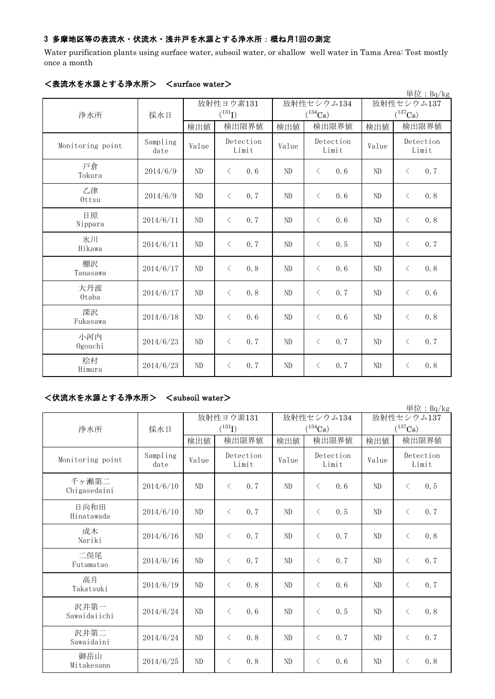## 3 多摩地区等の表流水・伏流水・浅井戸を水源とする浄水所:概ね月1回の測定

Water purification plants using surface water, subsoil water, or shallow well water in Tama Area: Test mostly once a month

|                  |                  |       |                    |       |                       |            | 単位: Bq/kg             |
|------------------|------------------|-------|--------------------|-------|-----------------------|------------|-----------------------|
|                  |                  |       | 放射性ヨウ素131          |       | 放射性セシウム134            | 放射性セシウム137 |                       |
| 浄水所              | 採水日              |       | $(^{131}I)$        |       | $(^{134}\mathrm{Cs})$ |            | $(^{137}\mathrm{Cs})$ |
|                  |                  | 検出値   | 検出限界値              | 検出値   | 検出限界値                 | 検出値        | 検出限界値                 |
| Monitoring point | Sampling<br>date | Value | Detection<br>Limit | Value | Detection<br>Limit    | Value      | Detection<br>Limit    |
| 戸倉<br>Tokura     | 2014/6/9         | ND    | 0.6<br>$\langle$   | ND    | 0.6<br>$\langle$      | ND         | 0.7<br>$\langle$      |
| 乙津<br>Ottsu      | 2014/6/9         | ND    | 0.7<br>$\langle$   | ND    | $\lt$<br>0.6          | ND         | 0.8<br>$\langle$      |
| 日原<br>Nippara    | 2014/6/11        | ND    | 0.7<br>$\langle$   | ND    | 0.6<br>$\langle$      | ND         | 0.8<br>$\langle$      |
| 氷川<br>Hikawa     | 2014/6/11        | ND    | 0.7<br>$\langle$   | ND    | 0.5<br>$\langle$      | ND         | 0.7<br>$\langle$      |
| 棚沢<br>Tanasawa   | 2014/6/17        | ND    | 0.8<br>$\langle$   | ND    | $\langle$<br>0.6      | ND         | 0.8<br>$\langle$      |
| 大丹波<br>Otaba     | 2014/6/17        | ND    | 0.8<br>$\langle$   | ND    | 0.7<br>$\lt$          | ND         | $\langle$<br>0.6      |
| 深沢<br>Fukasawa   | 2014/6/18        | ND    | 0.6<br>$\langle$   | ND    | 0.6<br>$\langle$      | ND         | 0.8<br>$\langle$      |
| 小河内<br>Ogouchi   | 2014/6/23        | ND    | 0.7<br>$\langle$   | ND    | 0.7<br>$\langle$      | ND         | 0.7<br>$\langle$      |
| 桧村<br>Himura     | 2014/6/23        | ND    | 0.7<br>$\langle$   | ND    | 0.7<br>$\langle$      | ND         | 0.8<br>$\langle$      |

# <表流水を水源とする浄水所> <surface water>

# <伏流水を水源とする浄水所> <subsoil water>

|                       |                  |                          |                                      |                |                            |                                     | 単位: Bq/kg          |
|-----------------------|------------------|--------------------------|--------------------------------------|----------------|----------------------------|-------------------------------------|--------------------|
| 浄水所                   | 採水日              | 放射性ヨウ素131<br>$(^{131}I)$ |                                      |                | 放射性セシウム134<br>$(^{134}Cs)$ | 放射性セシウム137<br>$(^{137}\mathrm{Cs})$ |                    |
|                       |                  | 検出値                      | 検出限界値                                | 検出値            | 検出限界値                      | 検出値                                 | 検出限界値              |
| Monitoring point      | Sampling<br>date | Value                    | Detection<br>Limit                   | Value          | Detection<br>Limit         | Value                               | Detection<br>Limit |
| 千ヶ瀬第二<br>Chigasedaini | 2014/6/10        | ND                       | 0, 7<br>$\langle$                    | ND             | 0, 6<br>$\langle$          | ND                                  | 0.5<br>$\langle$   |
| 日向和田<br>Hinatawada    | 2014/6/10        | ND                       | 0.7<br>$\langle$                     | ND             | 0.5<br>$\langle$           | ND                                  | 0.7<br>$\lt$       |
| 成木<br>Nariki          | 2014/6/16        | ND                       | $\left\langle \right\rangle$<br>0, 7 | N <sub>D</sub> | $\langle$<br>0.7           | ND                                  | 0.8<br>$\langle$   |
| 二俣尾<br>Futamatao      | 2014/6/16        | ND                       | 0.7<br>$\left\langle \right\rangle$  | ND             | $\langle$<br>0.7           | ND                                  | 0.7<br>$\lt$       |
| 高月<br>Takatsuki       | 2014/6/19        | ND                       | $\langle$<br>0.8                     | ND.            | $\lt$<br>0.6               | ND                                  | 0.7<br>$\langle$   |
| 沢井第一<br>Sawaidaiichi  | 2014/6/24        | ND                       | 0.6<br>$\langle$                     | ND.            | 0.5<br>$\langle$           | ND                                  | 0.8<br>$\langle$   |
| 沢井第二<br>Sawaidaini    | 2014/6/24        | ND                       | 0.8<br>$\left\langle \right\rangle$  | ND.            | 0.7<br>$\langle$           | ND                                  | 0.7<br>$\lt$       |
| 御岳山<br>Mitakesann     | 2014/6/25        | ND                       | 0, 8<br>$\langle$                    | ND             | 0, 6<br>$\lt$              | ND                                  | 0.8<br>$\langle$   |